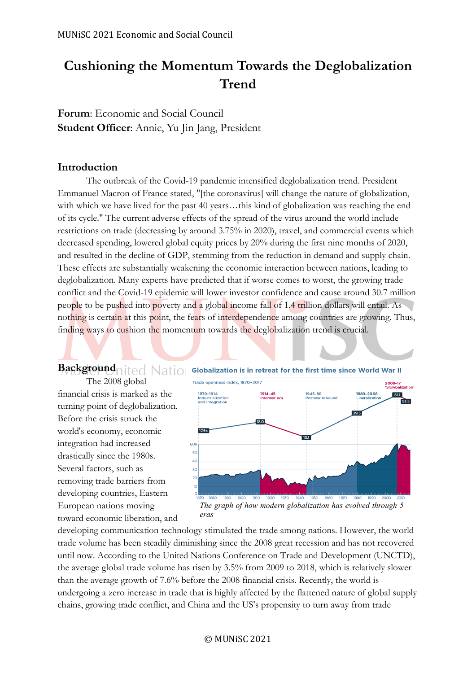# **Cushioning the Momentum Towards the Deglobalization Trend**

**Forum**: Economic and Social Council **Student Officer**: Annie, Yu Jin Jang, President

### **Introduction**

toward economic liberation, and

The outbreak of the Covid-19 pandemic intensified deglobalization trend. President Emmanuel Macron of France stated, "[the coronavirus] will change the nature of globalization, with which we have lived for the past 40 years…this kind of globalization was reaching the end of its cycle." The current adverse effects of the spread of the virus around the world include restrictions on trade (decreasing by around 3.75% in 2020), travel, and commercial events which decreased spending, lowered global equity prices by 20% during the first nine months of 2020, and resulted in the decline of GDP, stemming from the reduction in demand and supply chain. These effects are substantially weakening the economic interaction between nations, leading to deglobalization. Many experts have predicted that if worse comes to worst, the growing trade conflict and the Covid-19 epidemic will lower investor confidence and cause around 30.7 million people to be pushed into poverty and a global income fall of 1.4 trillion dollars will entail. As nothing is certain at this point, the fears of interdependence among countries are growing. Thus, finding ways to cushion the momentum towards the deglobalization trend is crucial.



*The graph of how modern globalization has evolved through 5 eras*

developing communication technology stimulated the trade among nations. However, the world trade volume has been steadily diminishing since the 2008 great recession and has not recovered until now. According to the United Nations Conference on Trade and Development (UNCTD), the average global trade volume has risen by 3.5% from 2009 to 2018, which is relatively slower than the average growth of 7.6% before the 2008 financial crisis. Recently, the world is undergoing a zero increase in trade that is highly affected by the flattened nature of global supply chains, growing trade conflict, and China and the US's propensity to turn away from trade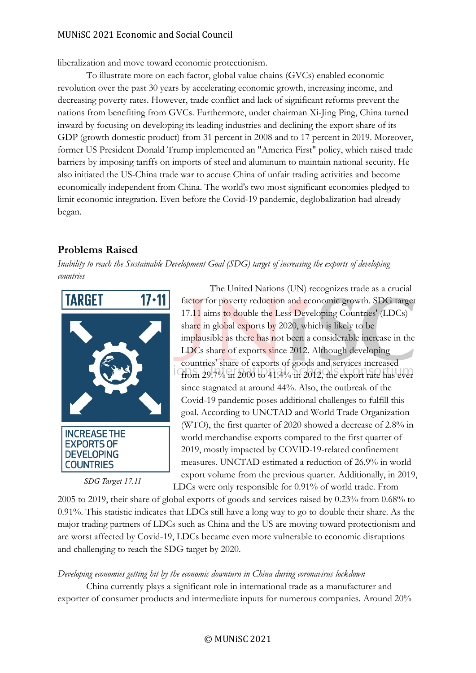# MUNiSC 2021 Economic and Social Council

liberalization and move toward economic protectionism.

To illustrate more on each factor, global value chains (GVCs) enabled economic revolution over the past 30 years by accelerating economic growth, increasing income, and decreasing poverty rates. However, trade conflict and lack of significant reforms prevent the nations from benefiting from GVCs. Furthermore, under chairman Xi-Jing Ping, China turned inward by focusing on developing its leading industries and declining the export share of its GDP (growth domestic product) from 31 percent in 2008 and to 17 percent in 2019. Moreover, former US President Donald Trump implemented an "America First" policy, which raised trade barriers by imposing tariffs on imports of steel and aluminum to maintain national security. He also initiated the US-China trade war to accuse China of unfair trading activities and become economically independent from China. The world's two most significant economies pledged to limit economic integration. Even before the Covid-19 pandemic, deglobalization had already began.

# **Problems Raised**

*Inability to reach the Sustainable Development Goal (SDG) target of increasing the exports of developing countries*



*SDG Target 17.11*

The United Nations (UN) recognizes trade as a crucial factor for poverty reduction and economic growth. SDG target 17.11 aims to double the Less Developing Countries' (LDCs) share in global exports by 2020, which is likely to be implausible as there has not been a considerable increase in the LDCs share of exports since 2012. Although developing countries' share of exports of goods and services increased from 29.7% in 2000 to 41.4% in 2012, the export rate has ever since stagnated at around 44%. Also, the outbreak of the Covid-19 pandemic poses additional challenges to fulfill this goal. According to UNCTAD and World Trade Organization (WTO), the first quarter of 2020 showed a decrease of 2.8% in world merchandise exports compared to the first quarter of 2019, mostly impacted by COVID-19-related confinement measures. UNCTAD estimated a reduction of 26.9% in world export volume from the previous quarter. Additionally, in 2019, LDCs were only responsible for 0.91% of world trade. From

2005 to 2019, their share of global exports of goods and services raised by 0.23% from 0.68% to 0.91%. This statistic indicates that LDCs still have a long way to go to double their share. As the major trading partners of LDCs such as China and the US are moving toward protectionism and are worst affected by Covid-19, LDCs became even more vulnerable to economic disruptions and challenging to reach the SDG target by 2020.

# *Developing economies getting hit by the economic downturn in China during coronavirus lockdown*

China currently plays a significant role in international trade as a manufacturer and exporter of consumer products and intermediate inputs for numerous companies. Around 20%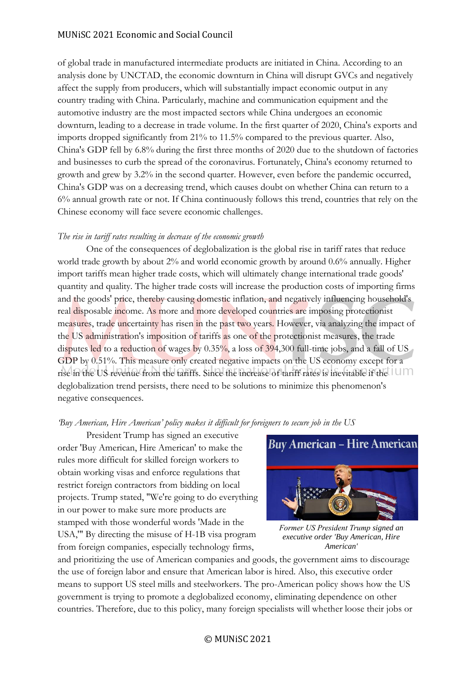# MUNiSC 2021 Economic and Social Council

of global trade in manufactured intermediate products are initiated in China. According to an analysis done by UNCTAD, the economic downturn in China will disrupt GVCs and negatively affect the supply from producers, which will substantially impact economic output in any country trading with China. Particularly, machine and communication equipment and the automotive industry are the most impacted sectors while China undergoes an economic downturn, leading to a decrease in trade volume. In the first quarter of 2020, China's exports and imports dropped significantly from 21% to 11.5% compared to the previous quarter. Also, China's GDP fell by 6.8% during the first three months of 2020 due to the shutdown of factories and businesses to curb the spread of the coronavirus. Fortunately, China's economy returned to growth and grew by 3.2% in the second quarter. However, even before the pandemic occurred, China's GDP was on a decreasing trend, which causes doubt on whether China can return to a 6% annual growth rate or not. If China continuously follows this trend, countries that rely on the Chinese economy will face severe economic challenges.

### *The rise in tariff rates resulting in decrease of the economic growth*

One of the consequences of deglobalization is the global rise in tariff rates that reduce world trade growth by about 2% and world economic growth by around 0.6% annually. Higher import tariffs mean higher trade costs, which will ultimately change international trade goods' quantity and quality. The higher trade costs will increase the production costs of importing firms and the goods' price, thereby causing domestic inflation, and negatively influencing household's real disposable income. As more and more developed countries are imposing protectionist measures, trade uncertainty has risen in the past two years. However, via analyzing the impact of the US administration's imposition of tariffs as one of the protectionist measures, the trade disputes led to a reduction of wages by 0.35%, a loss of 394,300 full-time jobs, and a fall of US GDP by 0.51%. This measure only created negative impacts on the US economy except for a rise in the US revenue from the tariffs. Since the increase of tariff rates is inevitable if the deglobalization trend persists, there need to be solutions to minimize this phenomenon's negative consequences.

### *'Buy American, Hire American' policy makes it difficult for foreigners to secure job in the US*

President Trump has signed an executive order 'Buy American, Hire American' to make the rules more difficult for skilled foreign workers to obtain working visas and enforce regulations that restrict foreign contractors from bidding on local projects. Trump stated, "We're going to do everything in our power to make sure more products are stamped with those wonderful words 'Made in the USA,'" By directing the misuse of H-1B visa program from foreign companies, especially technology firms,



*Former US President Trump signed an executive order 'Buy American, Hire American'*

and prioritizing the use of American companies and goods, the government aims to discourage the use of foreign labor and ensure that American labor is hired. Also, this executive order means to support US steel mills and steelworkers. The pro-American policy shows how the US government is trying to promote a deglobalized economy, eliminating dependence on other countries. Therefore, due to this policy, many foreign specialists will whether loose their jobs or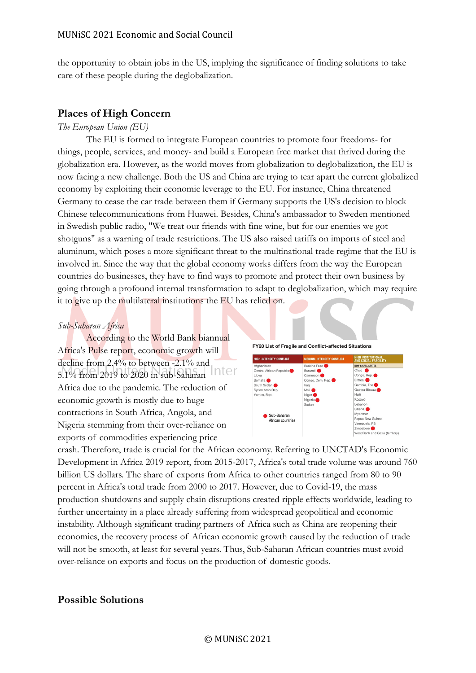the opportunity to obtain jobs in the US, implying the significance of finding solutions to take care of these people during the deglobalization.

# **Places of High Concern**

#### *The European Union (EU)*

The EU is formed to integrate European countries to promote four freedoms- for things, people, services, and money- and build a European free market that thrived during the globalization era. However, as the world moves from globalization to deglobalization, the EU is now facing a new challenge. Both the US and China are trying to tear apart the current globalized economy by exploiting their economic leverage to the EU. For instance, China threatened Germany to cease the car trade between them if Germany supports the US's decision to block Chinese telecommunications from Huawei. Besides, China's ambassador to Sweden mentioned in Swedish public radio, "We treat our friends with fine wine, but for our enemies we got shotguns" as a warning of trade restrictions. The US also raised tariffs on imports of steel and aluminum, which poses a more significant threat to the multinational trade regime that the EU is involved in. Since the way that the global economy works differs from the way the European countries do businesses, they have to find ways to promote and protect their own business by going through a profound internal transformation to adapt to deglobalization, which may require it to give up the multilateral institutions the EU has relied on.

#### *Sub-Saharan Africa*

According to the World Bank biannual Africa's Pulse report, economic growth will decline from 2.4% to between -2.1% and 5.1% from 2019 to 2020 in sub-Saharan Africa due to the pandemic. The reduction of economic growth is mostly due to huge contractions in South Africa, Angola, and Nigeria stemming from their over-reliance on exports of commodities experiencing price





crash. Therefore, trade is crucial for the African economy. Referring to UNCTAD's Economic Development in Africa 2019 report, from 2015-2017, Africa's total trade volume was around 760 billion US dollars. The share of exports from Africa to other countries ranged from 80 to 90 percent in Africa's total trade from 2000 to 2017. However, due to Covid-19, the mass production shutdowns and supply chain disruptions created ripple effects worldwide, leading to further uncertainty in a place already suffering from widespread geopolitical and economic instability. Although significant trading partners of Africa such as China are reopening their economies, the recovery process of African economic growth caused by the reduction of trade will not be smooth, at least for several years. Thus, Sub-Saharan African countries must avoid over-reliance on exports and focus on the production of domestic goods.

# **Possible Solutions**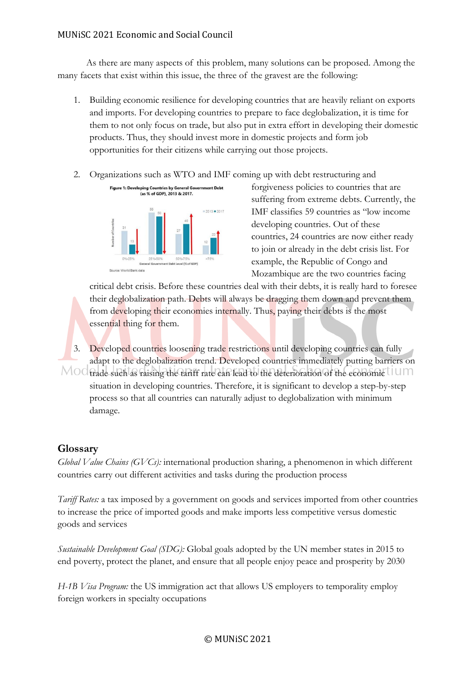As there are many aspects of this problem, many solutions can be proposed. Among the many facets that exist within this issue, the three of the gravest are the following:

- 1. Building economic resilience for developing countries that are heavily reliant on exports and imports. For developing countries to prepare to face deglobalization, it is time for them to not only focus on trade, but also put in extra effort in developing their domestic products. Thus, they should invest more in domestic projects and form job opportunities for their citizens while carrying out those projects.
- 2. Organizations such as WTO and IMF coming up with debt restructuring and



forgiveness policies to countries that are suffering from extreme debts. Currently, the IMF classifies 59 countries as "low income developing countries. Out of these countries, 24 countries are now either ready to join or already in the debt crisis list. For example, the Republic of Congo and Mozambique are the two countries facing

critical debt crisis. Before these countries deal with their debts, it is really hard to foresee their deglobalization path. Debts will always be dragging them down and prevent them from developing their economies internally. Thus, paying their debts is the most essential thing for them.

3. Developed countries loosening trade restrictions until developing countries can fully adapt to the deglobalization trend. Developed countries immediately putting barriers on MOO trade such as raising the tariff rate can lead to the deterioration of the economic UUM situation in developing countries. Therefore, it is significant to develop a step-by-step process so that all countries can naturally adjust to deglobalization with minimum damage.

# **Glossary**

*Global Value Chains (GVCs):* international production sharing, a phenomenon in which different countries carry out different activities and tasks during the production process

*Tariff Rates:* a tax imposed by a government on goods and services imported from other countries to increase the price of imported goods and make imports less competitive versus domestic goods and services

*Sustainable Development Goal (SDG):* Global goals adopted by the UN member states in 2015 to end poverty, protect the planet, and ensure that all people enjoy peace and prosperity by 2030

*H-1B Visa Program:* the US immigration act that allows US employers to temporality employ foreign workers in specialty occupations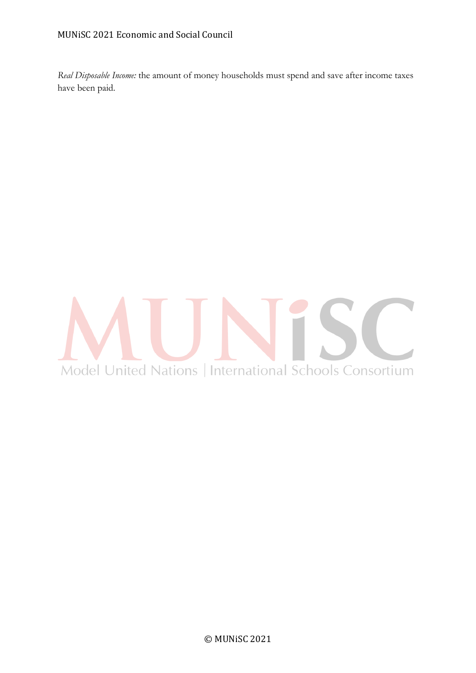*Real Disposable Income:* the amount of money households must spend and save after income taxes have been paid.

# $\mathcal{L}$ Model United Nations | International Schools Consortium